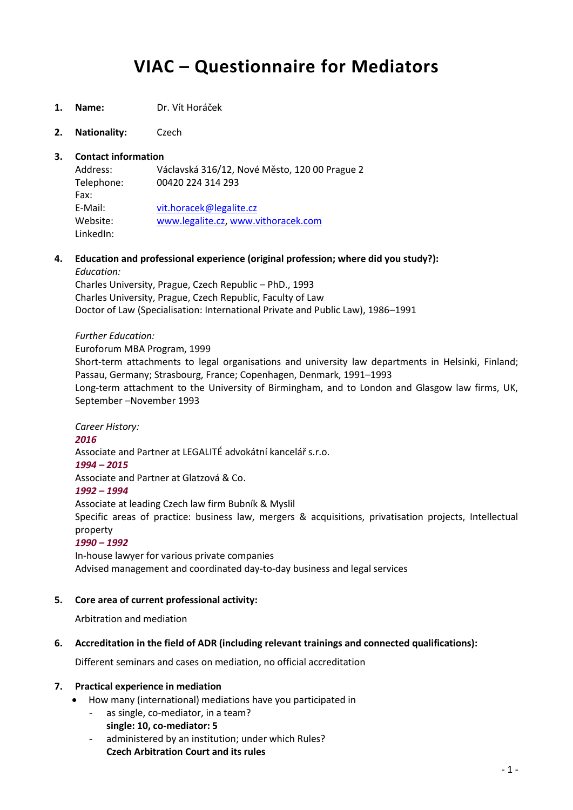# **VIAC – Questionnaire for Mediators**

- **1. Name:** Dr. Vít Horáček
- **2. Nationality:** Czech

## **3. Contact information**

Address: Václavská 316/12, Nové Město, 120 00 Prague 2 Telephone: 00420 224 314 293 Fax: E-Mail: [vit.horacek@legalite.cz](mailto:vit.horacek@legalite.cz) Website: [www.legalite.cz,](http://www.legalite.cz/) [www.vithoracek.com](http://www.vithoracek.com/) LinkedIn:

**4. Education and professional experience (original profession; where did you study?):**

#### *Education:*

Charles University, Prague, Czech Republic – PhD., 1993 Charles University, Prague, Czech Republic, Faculty of Law Doctor of Law (Specialisation: International Private and Public Law), 1986–1991

## *Further Education:*

Euroforum MBA Program, 1999

Short-term attachments to legal organisations and university law departments in Helsinki, Finland; Passau, Germany; Strasbourg, France; Copenhagen, Denmark, 1991–1993 Long-term attachment to the University of Birmingham, and to London and Glasgow law firms, UK, September –November 1993

## *Career History: 2016*  Associate and Partner at LEGALITÉ advokátní kancelář s.r.o. *1994 – 2015* Associate and Partner at Glatzová & Co. *1992 – 1994* Associate at leading Czech law firm Bubník & Myslil Specific areas of practice: business law, mergers & acquisitions, privatisation projects, Intellectual property *1990 – 1992* In-house lawyer for various private companies

Advised management and coordinated day-to-day business and legal services

## **5. Core area of current professional activity:**

Arbitration and mediation

## **6. Accreditation in the field of ADR (including relevant trainings and connected qualifications):**

Different seminars and cases on mediation, no official accreditation

#### **7. Practical experience in mediation**

- How many (international) mediations have you participated in
	- as single, co-mediator, in a team?
		- **single: 10, co-mediator: 5**
	- administered by an institution; under which Rules? **Czech Arbitration Court and its rules**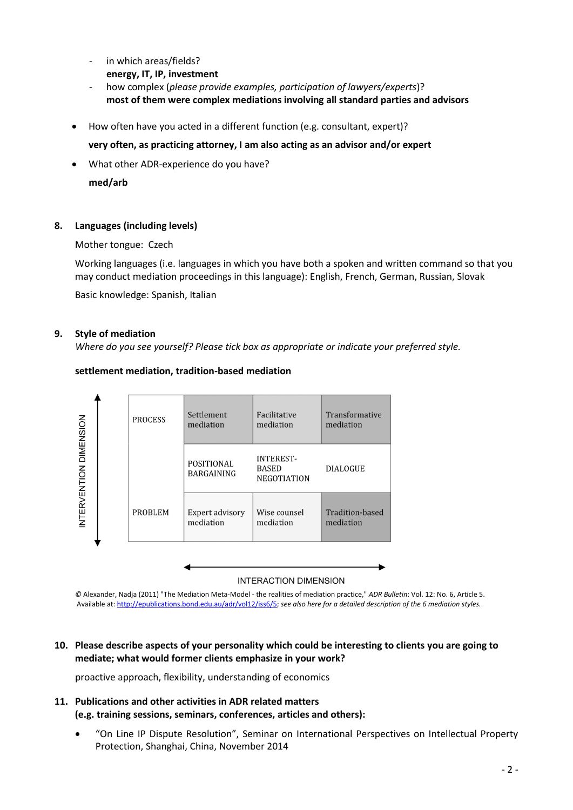- in which areas/fields? **energy, IT, IP, investment**
- how complex (*please provide examples, participation of lawyers/experts*)? **most of them were complex mediations involving all standard parties and advisors**
- How often have you acted in a different function (e.g. consultant, expert)?

**very often, as practicing attorney, I am also acting as an advisor and/or expert**

What other ADR-experience do you have?

**med/arb**

## **8. Languages (including levels)**

Mother tongue: Czech

Working languages (i.e. languages in which you have both a spoken and written command so that you may conduct mediation proceedings in this language): English, French, German, Russian, Slovak

Basic knowledge: Spanish, Italian

#### **9. Style of mediation**

*Where do you see yourself? Please tick box as appropriate or indicate your preferred style.*

## **settlement mediation, tradition-based mediation**



#### **INTERACTION DIMENSION**

*©* Alexander, Nadja (2011) "The Mediation Meta-Model - the realities of mediation practice," *ADR Bulletin*: Vol. 12: No. 6, Article 5. Available at[: http://epublications.bond.edu.au/adr/vol12/iss6/5;](http://epublications.bond.edu.au/adr/vol12/iss6/5) *see also here for a detailed description of the 6 mediation styles.*

## **10. Please describe aspects of your personality which could be interesting to clients you are going to mediate; what would former clients emphasize in your work?**

proactive approach, flexibility, understanding of economics

## **11. Publications and other activities in ADR related matters (e.g. training sessions, seminars, conferences, articles and others):**

 "On Line IP Dispute Resolution", Seminar on International Perspectives on Intellectual Property Protection, Shanghai, China, November 2014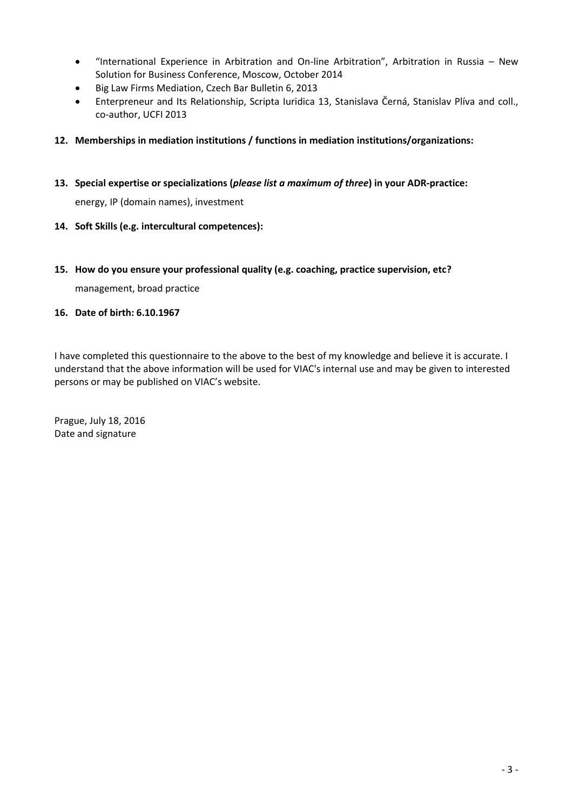- "International Experience in Arbitration and On-line Arbitration", Arbitration in Russia New Solution for Business Conference, Moscow, October 2014
- Big Law Firms Mediation, Czech Bar Bulletin 6, 2013
- Enterpreneur and Its Relationship, Scripta Iuridica 13, Stanislava Černá, Stanislav Plíva and coll., co-author, UCFI 2013
- **12. Memberships in mediation institutions / functions in mediation institutions/organizations:**
- **13. Special expertise or specializations (***please list a maximum of three***) in your ADR-practice:**

energy, IP (domain names), investment

- **14. Soft Skills (e.g. intercultural competences):**
- **15. How do you ensure your professional quality (e.g. coaching, practice supervision, etc?**

management, broad practice

#### **16. Date of birth: 6.10.1967**

I have completed this questionnaire to the above to the best of my knowledge and believe it is accurate. I understand that the above information will be used for VIAC's internal use and may be given to interested persons or may be published on VIAC's website.

Prague, July 18, 2016 Date and signature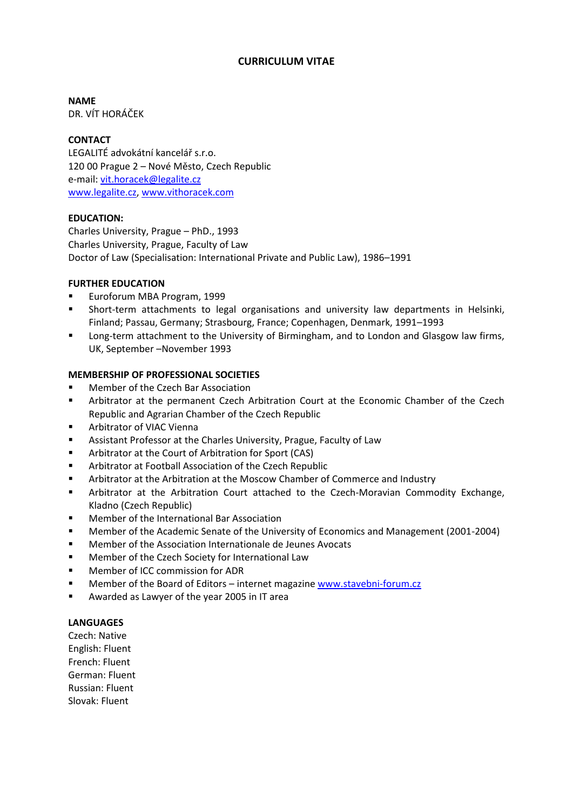## **CURRICULUM VITAE**

**NAME**

DR. VÍT HORÁČEK

#### **CONTACT**

LEGALITÉ advokátní kancelář s.r.o. 120 00 Prague 2 – Nové Město, Czech Republic e-mail: [vit.horacek@legalite.cz](mailto:vit.horacek@legalite.cz) [www.legalite.cz,](http://www.legalite.cz/) [www.vithoracek.com](http://www.vithoracek.com/)

#### **EDUCATION:**

Charles University, Prague – PhD., 1993 Charles University, Prague, Faculty of Law Doctor of Law (Specialisation: International Private and Public Law), 1986–1991

## **FURTHER EDUCATION**

- Euroforum MBA Program, 1999
- Short-term attachments to legal organisations and university law departments in Helsinki, Finland; Passau, Germany; Strasbourg, France; Copenhagen, Denmark, 1991–1993
- **Long-term attachment to the University of Birmingham, and to London and Glasgow law firms,** UK, September –November 1993

## **MEMBERSHIP OF PROFESSIONAL SOCIETIES**

- Member of the Czech Bar Association
- Arbitrator at the permanent Czech Arbitration Court at the Economic Chamber of the Czech Republic and Agrarian Chamber of the Czech Republic
- Arbitrator of VIAC Vienna
- Assistant Professor at the Charles University, Prague, Faculty of Law
- Arbitrator at the Court of Arbitration for Sport (CAS)
- Arbitrator at Football Association of the Czech Republic
- Arbitrator at the Arbitration at the Moscow Chamber of Commerce and Industry
- Arbitrator at the Arbitration Court attached to the Czech-Moravian Commodity Exchange, Kladno (Czech Republic)
- Member of the International Bar Association
- **Member of the Academic Senate of the University of Economics and Management (2001-2004)**
- Member of the Association Internationale de Jeunes Avocats
- **Member of the Czech Society for International Law**
- **Member of ICC commission for ADR**
- Member of the Board of Editors internet magazine [www.stavebni-forum.cz](http://www.stavebni-forum.cz/)
- Awarded as Lawyer of the year 2005 in IT area

#### **LANGUAGES**

Czech: Native English: Fluent French: Fluent German: Fluent Russian: Fluent Slovak: Fluent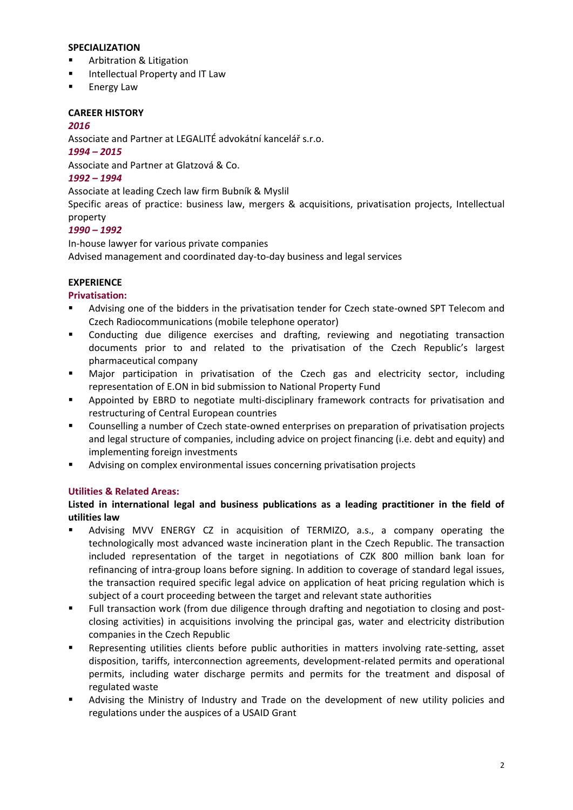## **SPECIALIZATION**

- Arbitration & Litigation
- **Intellectual Property and IT Law**
- Energy Law

## **CAREER HISTORY**

#### *2016*

Associate and Partner at LEGALITÉ advokátní kancelář s.r.o.

#### *1994 – 2015*

Associate and Partner at Glatzová & Co.

## *1992 – 1994*

Associate at leading Czech law firm Bubník & Myslil

Specific areas of practice: business law, mergers & acquisitions, privatisation projects, Intellectual property

# *1990 – 1992*

In-house lawyer for various private companies Advised management and coordinated day-to-day business and legal services

## **EXPERIENCE**

## **Privatisation:**

- Advising one of the bidders in the privatisation tender for Czech state-owned SPT Telecom and Czech Radiocommunications (mobile telephone operator)
- Conducting due diligence exercises and drafting, reviewing and negotiating transaction documents prior to and related to the privatisation of the Czech Republic's largest pharmaceutical company
- Major participation in privatisation of the Czech gas and electricity sector, including representation of E.ON in bid submission to National Property Fund
- Appointed by EBRD to negotiate multi-disciplinary framework contracts for privatisation and restructuring of Central European countries
- Counselling a number of Czech state-owned enterprises on preparation of privatisation projects and legal structure of companies, including advice on project financing (i.e. debt and equity) and implementing foreign investments
- Advising on complex environmental issues concerning privatisation projects

## **Utilities & Related Areas:**

## **Listed in international legal and business publications as a leading practitioner in the field of utilities law**

- Advising MVV ENERGY CZ in acquisition of TERMIZO, a.s., a company operating the technologically most advanced waste incineration plant in the Czech Republic. The transaction included representation of the target in negotiations of CZK 800 million bank loan for refinancing of intra-group loans before signing. In addition to coverage of standard legal issues, the transaction required specific legal advice on application of heat pricing regulation which is subject of a court proceeding between the target and relevant state authorities
- Full transaction work (from due diligence through drafting and negotiation to closing and postclosing activities) in acquisitions involving the principal gas, water and electricity distribution companies in the Czech Republic
- Representing utilities clients before public authorities in matters involving rate-setting, asset disposition, tariffs, interconnection agreements, development-related permits and operational permits, including water discharge permits and permits for the treatment and disposal of regulated waste
- Advising the Ministry of Industry and Trade on the development of new utility policies and regulations under the auspices of a USAID Grant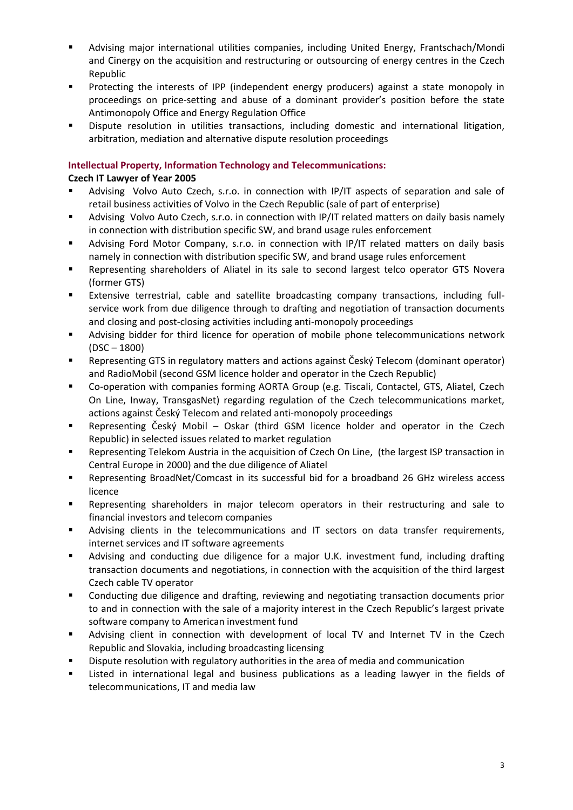- Advising major international utilities companies, including United Energy, Frantschach/Mondi and Cinergy on the acquisition and restructuring or outsourcing of energy centres in the Czech Republic
- Protecting the interests of IPP (independent energy producers) against a state monopoly in proceedings on price-setting and abuse of a dominant provider's position before the state Antimonopoly Office and Energy Regulation Office
- Dispute resolution in utilities transactions, including domestic and international litigation, arbitration, mediation and alternative dispute resolution proceedings

## **Intellectual Property, Information Technology and Telecommunications:**

## **Czech IT Lawyer of Year 2005**

- Advising Volvo Auto Czech, s.r.o. in connection with IP/IT aspects of separation and sale of retail business activities of Volvo in the Czech Republic (sale of part of enterprise)
- Advising Volvo Auto Czech, s.r.o. in connection with IP/IT related matters on daily basis namely in connection with distribution specific SW, and brand usage rules enforcement
- Advising Ford Motor Company, s.r.o. in connection with IP/IT related matters on daily basis namely in connection with distribution specific SW, and brand usage rules enforcement
- Representing shareholders of Aliatel in its sale to second largest telco operator GTS Novera (former GTS)
- Extensive terrestrial, cable and satellite broadcasting company transactions, including fullservice work from due diligence through to drafting and negotiation of transaction documents and closing and post-closing activities including anti-monopoly proceedings
- Advising bidder for third licence for operation of mobile phone telecommunications network (DSC – 1800)
- Representing GTS in regulatory matters and actions against Český Telecom (dominant operator) and RadioMobil (second GSM licence holder and operator in the Czech Republic)
- Co-operation with companies forming AORTA Group (e.g. Tiscali, Contactel, GTS, Aliatel, Czech On Line, Inway, TransgasNet) regarding regulation of the Czech telecommunications market, actions against Český Telecom and related anti-monopoly proceedings
- Representing Český Mobil Oskar (third GSM licence holder and operator in the Czech Republic) in selected issues related to market regulation
- Representing Telekom Austria in the acquisition of Czech On Line, (the largest ISP transaction in Central Europe in 2000) and the due diligence of Aliatel
- Representing BroadNet/Comcast in its successful bid for a broadband 26 GHz wireless access licence
- Representing shareholders in major telecom operators in their restructuring and sale to financial investors and telecom companies
- Advising clients in the telecommunications and IT sectors on data transfer requirements, internet services and IT software agreements
- Advising and conducting due diligence for a major U.K. investment fund, including drafting transaction documents and negotiations, in connection with the acquisition of the third largest Czech cable TV operator
- Conducting due diligence and drafting, reviewing and negotiating transaction documents prior to and in connection with the sale of a majority interest in the Czech Republic's largest private software company to American investment fund
- Advising client in connection with development of local TV and Internet TV in the Czech Republic and Slovakia, including broadcasting licensing
- Dispute resolution with regulatory authorities in the area of media and communication
- Listed in international legal and business publications as a leading lawyer in the fields of telecommunications, IT and media law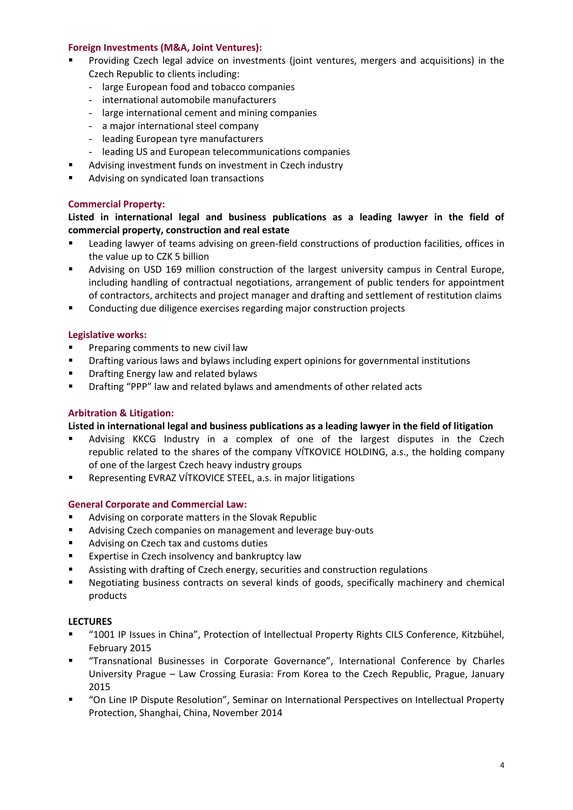### **Foreign Investments (M&A, Joint Ventures):**

- Providing Czech legal advice on investments (joint ventures, mergers and acquisitions) in the Czech Republic to clients including:
	- large European food and tobacco companies
	- international automobile manufacturers
	- large international cement and mining companies
	- a major international steel company
	- leading European tyre manufacturers
	- leading US and European telecommunications companies
- Advising investment funds on investment in Czech industry
- Advising on syndicated loan transactions

### **Commercial Property:**

**Listed in international legal and business publications as a leading lawyer in the field of commercial property, construction and real estate**

- Leading lawyer of teams advising on green-field constructions of production facilities, offices in the value up to CZK 5 billion
- Advising on USD 169 million construction of the largest university campus in Central Europe, including handling of contractual negotiations, arrangement of public tenders for appointment of contractors, architects and project manager and drafting and settlement of restitution claims
- Conducting due diligence exercises regarding major construction projects

## **Legislative works:**

- **Preparing comments to new civil law**
- **•** Drafting various laws and bylaws including expert opinions for governmental institutions
- **Philter** Drafting Energy law and related bylaws
- Drafting "PPP" law and related bylaws and amendments of other related acts

## **Arbitration & Litigation:**

#### **Listed in international legal and business publications as a leading lawyer in the field of litigation**

- Advising KKCG Industry in a complex of one of the largest disputes in the Czech republic related to the shares of the company VÍTKOVICE HOLDING, a.s., the holding company of one of the largest Czech heavy industry groups
- Representing EVRAZ VÍTKOVICE STEEL, a.s. in major litigations

#### **General Corporate and Commercial Law:**

- **Advising on corporate matters in the Slovak Republic**
- **Advising Czech companies on management and leverage buy-outs**
- **Advising on Czech tax and customs duties**
- **Expertise in Czech insolvency and bankruptcy law**
- Assisting with drafting of Czech energy, securities and construction regulations
- Negotiating business contracts on several kinds of goods, specifically machinery and chemical products

#### **LECTURES**

- "1001 IP Issues in China", Protection of Intellectual Property Rights CILS Conference, Kitzbühel, February 2015
- "Transnational Businesses in Corporate Governance", International Conference by Charles University Prague – Law Crossing Eurasia: From Korea to the Czech Republic, Prague, January 2015
- "On Line IP Dispute Resolution", Seminar on International Perspectives on Intellectual Property Protection, Shanghai, China, November 2014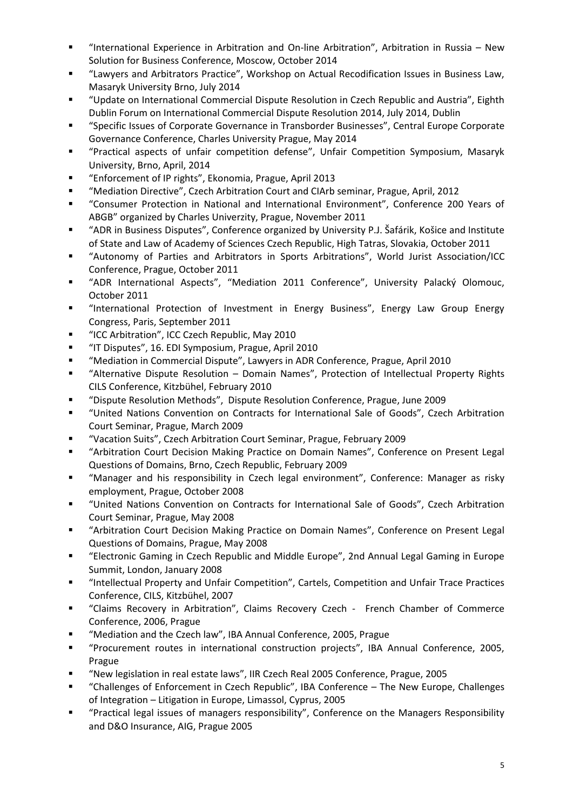- "International Experience in Arbitration and On-line Arbitration", Arbitration in Russia New Solution for Business Conference, Moscow, October 2014
- "Lawyers and Arbitrators Practice", Workshop on Actual Recodification Issues in Business Law, Masaryk University Brno, July 2014
- "Update on International Commercial Dispute Resolution in Czech Republic and Austria", Eighth Dublin Forum on International Commercial Dispute Resolution 2014, July 2014, Dublin
- "Specific Issues of Corporate Governance in Transborder Businesses", Central Europe Corporate Governance Conference, Charles University Prague, May 2014
- "Practical aspects of unfair competition defense", Unfair Competition Symposium, Masaryk University, Brno, April, 2014
- "Enforcement of IP rights", Ekonomia, Prague, April 2013
- "Mediation Directive", Czech Arbitration Court and CIArb seminar, Prague, April, 2012
- "Consumer Protection in National and International Environment", Conference 200 Years of ABGB" organized by Charles Univerzity, Prague, November 2011
- "ADR in Business Disputes", Conference organized by University P.J. Šafárik, Košice and Institute of State and Law of Academy of Sciences Czech Republic, High Tatras, Slovakia, October 2011
- "Autonomy of Parties and Arbitrators in Sports Arbitrations", World Jurist Association/ICC Conference, Prague, October 2011
- "ADR International Aspects", "Mediation 2011 Conference", University Palacký Olomouc, October 2011
- "International Protection of Investment in Energy Business", Energy Law Group Energy Congress, Paris, September 2011
- "ICC Arbitration", ICC Czech Republic, May 2010
- "IT Disputes", 16. EDI Symposium, Prague, April 2010
- "Mediation in Commercial Dispute", Lawyers in ADR Conference, Prague, April 2010
- "Alternative Dispute Resolution Domain Names", Protection of Intellectual Property Rights CILS Conference, Kitzbühel, February 2010
- "Dispute Resolution Methods", Dispute Resolution Conference, Prague, June 2009
- "United Nations Convention on Contracts for International Sale of Goods", Czech Arbitration Court Seminar, Prague, March 2009
- "Vacation Suits", Czech Arbitration Court Seminar, Prague, February 2009
- "Arbitration Court Decision Making Practice on Domain Names", Conference on Present Legal Questions of Domains, Brno, Czech Republic, February 2009
- "Manager and his responsibility in Czech legal environment", Conference: Manager as risky employment, Prague, October 2008
- "United Nations Convention on Contracts for International Sale of Goods", Czech Arbitration Court Seminar, Prague, May 2008
- "Arbitration Court Decision Making Practice on Domain Names", Conference on Present Legal Questions of Domains, Prague, May 2008
- "Electronic Gaming in Czech Republic and Middle Europe", 2nd Annual Legal Gaming in Europe Summit, London, January 2008
- "Intellectual Property and Unfair Competition", Cartels, Competition and Unfair Trace Practices Conference, CILS, Kitzbühel, 2007
- "Claims Recovery in Arbitration", Claims Recovery Czech French Chamber of Commerce Conference, 2006, Prague
- "Mediation and the Czech law", IBA Annual Conference, 2005, Prague
- "Procurement routes in international construction projects", IBA Annual Conference, 2005, Prague
- "New legislation in real estate laws", IIR Czech Real 2005 Conference, Prague, 2005
- "Challenges of Enforcement in Czech Republic", IBA Conference The New Europe, Challenges of Integration – Litigation in Europe, Limassol, Cyprus, 2005
- "Practical legal issues of managers responsibility", Conference on the Managers Responsibility and D&O Insurance, AIG, Prague 2005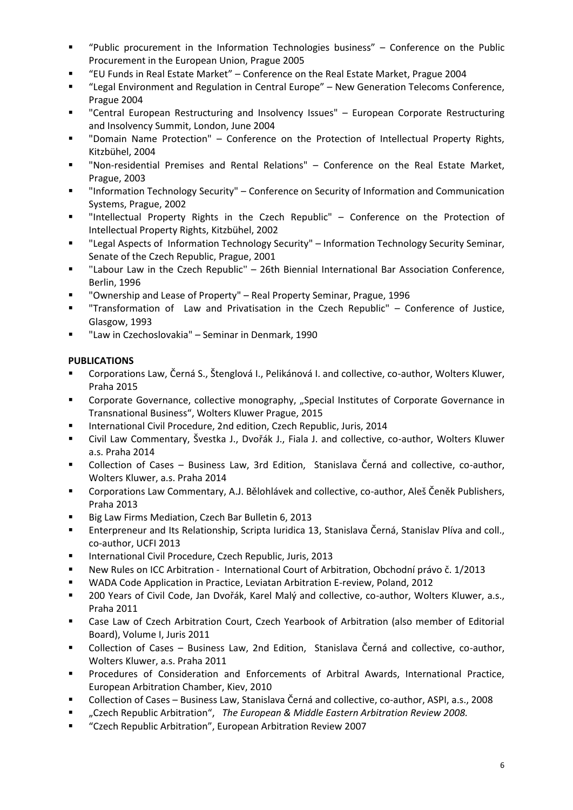- "Public procurement in the Information Technologies business" Conference on the Public Procurement in the European Union, Prague 2005
- "EU Funds in Real Estate Market" Conference on the Real Estate Market, Prague 2004
- "Legal Environment and Regulation in Central Europe" New Generation Telecoms Conference, Prague 2004
- "Central European Restructuring and Insolvency Issues" European Corporate Restructuring and Insolvency Summit, London, June 2004
- "Domain Name Protection" Conference on the Protection of Intellectual Property Rights, Kitzbühel, 2004
- "Non-residential Premises and Rental Relations" Conference on the Real Estate Market, Prague, 2003
- "Information Technology Security" Conference on Security of Information and Communication Systems, Prague, 2002
- "Intellectual Property Rights in the Czech Republic" Conference on the Protection of Intellectual Property Rights, Kitzbühel, 2002
- "Legal Aspects of Information Technology Security" Information Technology Security Seminar, Senate of the Czech Republic, Prague, 2001
- "Labour Law in the Czech Republic" 26th Biennial International Bar Association Conference, Berlin, 1996
- "Ownership and Lease of Property" Real Property Seminar, Prague, 1996
- "Transformation of Law and Privatisation in the Czech Republic" Conference of Justice, Glasgow, 1993
- "Law in Czechoslovakia" Seminar in Denmark, 1990

# **PUBLICATIONS**

- Corporations Law, Černá S., Štenglová I., Pelikánová I. and collective, co-author, Wolters Kluwer, Praha 2015
- **•** Corporate Governance, collective monography, "Special Institutes of Corporate Governance in Transnational Business", Wolters Kluwer Prague, 2015
- International Civil Procedure, 2nd edition, Czech Republic, Juris, 2014
- Civil Law Commentary, Švestka J., Dvořák J., Fiala J. and collective, co-author, Wolters Kluwer a.s. Praha 2014
- Collection of Cases Business Law, 3rd Edition, Stanislava Černá and collective, co-author, Wolters Kluwer, a.s. Praha 2014
- Corporations Law Commentary, A.J. Bělohlávek and collective, co-author, Aleš Čeněk Publishers, Praha 2013
- Big Law Firms Mediation, Czech Bar Bulletin 6, 2013
- Enterpreneur and Its Relationship, Scripta Iuridica 13, Stanislava Černá, Stanislav Plíva and coll., co-author, UCFI 2013
- International Civil Procedure, Czech Republic, Juris, 2013
- New Rules on ICC Arbitration International Court of Arbitration, Obchodní právo č. 1/2013
- WADA Code Application in Practice, Leviatan Arbitration E-review, Poland, 2012
- 200 Years of Civil Code, Jan Dvořák, Karel Malý and collective, co-author, Wolters Kluwer, a.s., Praha 2011
- Case Law of Czech Arbitration Court, Czech Yearbook of Arbitration (also member of Editorial Board), Volume I, Juris 2011
- Collection of Cases Business Law, 2nd Edition, Stanislava Černá and collective, co-author, Wolters Kluwer, a.s. Praha 2011
- Procedures of Consideration and Enforcements of Arbitral Awards, International Practice, European Arbitration Chamber, Kiev, 2010
- Collection of Cases Business Law, Stanislava Černá and collective, co-author, ASPI, a.s., 2008
- "Czech Republic Arbitration", *The European & Middle Eastern Arbitration Review 2008.*
- "Czech Republic Arbitration", European Arbitration Review 2007